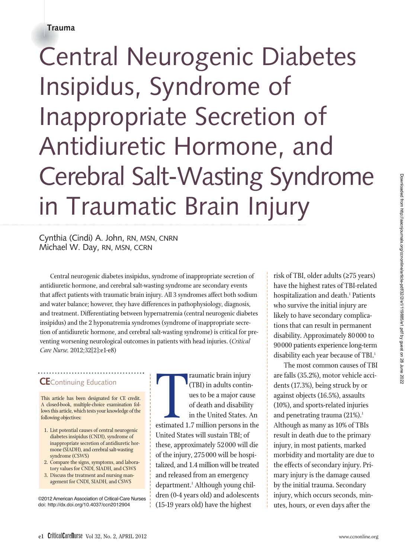# Central Neurogenic Diabetes Insipidus, Syndrome of Inappropriate Secretion of Antidiuretic Hormone, and Cerebral Salt-Wasting Syndrome in Traumatic Brain Injury

Cynthia (Cindi) A. John, RN, MSN, CNRN Michael W. Day, RN, MSN, CCRN

Central neurogenic diabetes insipidus, syndrome of inappropriate secretion of antidiuretic hormone, and cerebral salt-wasting syndrome are secondary events that affect patients with traumatic brain injury. All 3 syndromes affect both sodium and water balance; however, they have differences in pathophysiology, diagnosis, and treatment. Differentiating between hypernatremia (central neurogenic diabetes insipidus) and the 2 hyponatremia syndromes (syndrome of inappropriate secretion of antidiuretic hormone, and cerebral salt-wasting syndrome) is critical for preventing worsening neurological outcomes in patients with head injuries. (*Critical Care Nurse.* 2012;32[2]:e1-e8)

# **CE**Continuing Education

. . . . . . . . . . . . . . . . . . . .

This article has been designated for CE credit. A closed-book, multiple-choice examination follows this article, which tests your knowledge of the following objectives:

- 1. List potential causes of central neurogenic diabetes insipidus (CNDI), syndrome of inappropriate secretion of antidiuretic hormone (SIADH), and cerebral salt-wasting syndrome (CSWS)
- 2. Compare the signs, symptoms, and laboratory values for CNDI, SIADH, and CSWS
- 3. Discuss the treatment and nursing management for CNDI, SIADH, and CSWS

©2012 American Association of Critical-Care Nurses doi: http://dx.doi.org/10.4037/ccn2012904

Traumatic brain injury<br>
(TBI) in adults continues to be a major cause<br>
of death and disability<br>
in the United States. An<br>
Estimated 1.7 million persons in the<br>
United States will sustain TBL of raumatic brain injury (TBI) in adults continues to be a major cause of death and disability in the United States. An United States will sustain TBI; of these, approximately 52 000 will die of the injury, 275 000 will be hospitalized, and 1.4 million will be treated and released from an emergency department.<sup>1</sup> Although young children (0-4 years old) and adolescents (15-19 years old) have the highest

risk of TBI, older adults (≥75 years) have the highest rates of TBI-related hospitalization and death.<sup>1</sup> Patients who survive the initial injury are likely to have secondary complications that can result in permanent disability. Approximately 80 000 to 90000 patients experience long-term disability each year because of TBI.<sup>1</sup>

The most common causes of TBI are falls (35.2%), motor vehicle accidents (17.3%), being struck by or against objects (16.5%), assaults (10%), and sports-related injuries and penetrating trauma  $(21\%)$ .<sup>1</sup> Although as many as 10% of TBIs result in death due to the primary injury, in most patients, marked morbidity and mortality are due to the effects of secondary injury. Primary injury is the damage caused by the initial trauma. Secondary injury, which occurs seconds, minutes, hours, or even days after the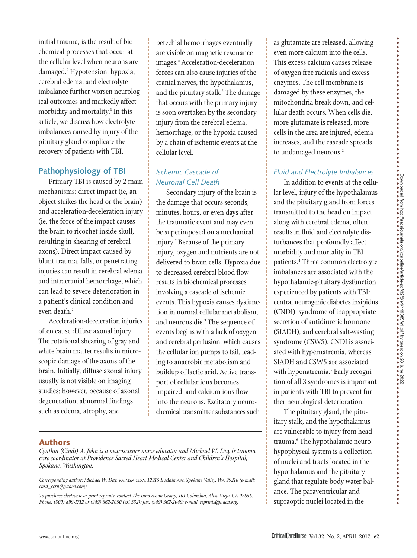initial trauma, is the result of biochemical processes that occur at the cellular level when neurons are damaged.2 Hypotension, hypoxia, cerebral edema, and electrolyte imbalance further worsen neurological outcomes and markedly affect morbidity and mortality.3 In this article, we discuss how electrolyte imbalances caused by injury of the pituitary gland complicate the recovery of patients with TBI.

**Primary TBI** is caused by 2 main mechanisms: direct impact (ie, an object strikes the head or the brain) and acceleration-deceleration injury (ie, the force of the impact causes the brain to ricochet inside skull, resulting in shearing of cerebral axons). Direct impact caused by blunt trauma, falls, or penetrating injuries can result in cerebral edema and intracranial hemorrhage, which can lead to severe deterioration in a patient's clinical condition and even death.<sup>2</sup>

Acceleration-deceleration injuries often cause diffuse axonal injury. The rotational shearing of gray and white brain matter results in microscopic damage of the axons of the brain. Initially, diffuse axonal injury usually is not visible on imaging studies; however, because of axonal degeneration, abnormal findings such as edema, atrophy, and

petechial hemorrhages eventually are visible on magnetic resonance images.2 Acceleration-deceleration forces can also cause injuries of the cranial nerves, the hypothalamus, and the pituitary stalk.<sup>2</sup> The damage that occurs with the primary injury is soon overtaken by the secondary injury from the cerebral edema, hemorrhage, or the hypoxia caused by a chain of ischemic events at the cellular level.

# *Ischemic Cascade of Neuronal Cell Death*

Secondary injury of the brain is the damage that occurs seconds, minutes, hours, or even days after the traumatic event and may even be superimposed on a mechanical injury.2 Because of the primary injury, oxygen and nutrients are not delivered to brain cells. Hypoxia due to decreased cerebral blood flow results in biochemical processes involving a cascade of ischemic events. This hypoxia causes dysfunction in normal cellular metabolism, and neurons die.<sup>3</sup> The sequence of events begins with a lack of oxygen and cerebral perfusion, which causes the cellular ion pumps to fail, leading to anaerobic metabolism and buildup of lactic acid. Active transport of cellular ions becomes impaired, and calcium ions flow into the neurons. Excitatory neurochemical transmitter substances such

## **Authors**

*Cynthia (Cindi) A. John is a neuroscience nurse educator and Michael W. Day is trauma care coordinator at Providence Sacred Heart Medical Center and Children's Hospital, Spokane, Washington.*

*To purchase electronic or print reprints, contact The InnoVision Group, 101 Columbia, Aliso Viejo, CA 92656. Phone, (800) 899-1712 or (949) 362-2050 (ext 532); fax, (949) 362-2049; e-mail, reprints@aacn.org.*

as glutamate are released, allowing even more calcium into the cells. This excess calcium causes release of oxygen free radicals and excess enzymes. The cell membrane is damaged by these enzymes, the mitochondria break down, and cellular death occurs. When cells die, more glutamate is released, more cells in the area are injured, edema increases, and the cascade spreads to undamaged neurons.<sup>3</sup>

## *Fluid and Electrolyte Imbalances*

In addition to events at the cellular level, injury of the hypothalamus and the pituitary gland from forces transmitted to the head on impact, along with cerebral edema, often results in fluid and electrolyte disturbances that profoundly affect morbidity and mortality in TBI patients.4 Three common electrolyte imbalances are associated with the hypothalamic-pituitary dysfunction experienced by patients with TBI: central neurogenic diabetes insipidus (CNDI), syndrome of inappropriate secretion of antidiuretic hormone (SIADH), and cerebral salt-wasting syndrome (CSWS). CNDI is associated with hypernatremia, whereas SIADH and CSWS are associated with hyponatremia.<sup>5</sup> Early recognition of all 3 syndromes is important in patients with TBI to prevent further neurological deterioration.

The pituitary gland, the pituitary stalk, and the hypothalamus are vulnerable to injury from head trauma.<sup>6</sup> The hypothalamic-neurohypophyseal system is a collection of nuclei and tracts located in the hypothalamus and the pituitary gland that regulate body water balance. The paraventricular and supraoptic nuclei located in the

*Corresponding author: Michael W. Day, RN, MSN, CCRN, 12915 E Main Ave, Spokane Valley, WA 99216 (e-mail: cnsd\_ccrn@yahoo.com)*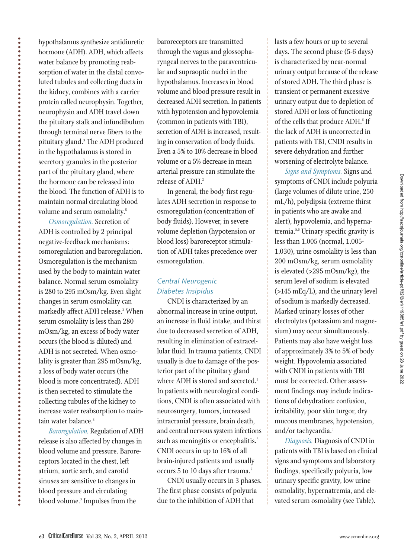hypothalamus synthesize antidiuretic hormone (ADH). ADH, which affects water balance by promoting reabsorption of water in the distal convoluted tubules and collecting ducts in the kidney, combines with a carrier protein called neurophysin. Together, neurophysin and ADH travel down the pituitary stalk and infundibulum through terminal nerve fibers to the pituitary gland.3 The ADH produced in the hypothalamus is stored in secretory granules in the posterior part of the pituitary gland, where the hormone can be released into the blood. The function of ADH is to maintain normal circulating blood volume and serum osmolality.<sup>5</sup>

*Osmoregulation.* Secretion of ADH is controlled by 2 principal negative-feedback mechanisms: osmoregulation and baroregulation. Osmoregulation is the mechanism used by the body to maintain water balance. Normal serum osmolality is 280 to 295 mOsm/kg. Even slight changes in serum osmolality can markedly affect ADH release.<sup>3</sup> When serum osmolality is less than 280 mOsm/kg, an excess of body water occurs (the blood is diluted) and ADH is not secreted. When osmolality is greater than 295 mOsm/kg, a loss of body water occurs (the blood is more concentrated). ADH is then secreted to stimulate the collecting tubules of the kidney to increase water reabsorption to maintain water balance.<sup>3</sup>

*Baroregulation.* Regulation of ADH release is also affected by changes in blood volume and pressure. Baroreceptors located in the chest, left atrium, aortic arch, and carotid sinuses are sensitive to changes in blood pressure and circulating blood volume.<sup>3</sup> Impulses from the

baroreceptors are transmitted through the vagus and glossopharyngeal nerves to the paraventricular and supraoptic nuclei in the hypothalamus. Increases in blood volume and blood pressure result in decreased ADH secretion. In patients with hypotension and hypovolemia (common in patients with TBI), secretion of ADH is increased, resulting in conservation of body fluids. Even a 5% to 10% decrease in blood volume or a 5% decrease in mean arterial pressure can stimulate the release of ADH.<sup>3</sup>

In general, the body first regulates ADH secretion in response to osmo regulation (concentration of body fluids). However, in severe volume depletion (hypotension or blood loss) baroreceptor stimulation of ADH takes precedence over osmoregulation.

# *Central Neurogenic Diabetes Insipidus*

CNDI is characterized by an abnormal increase in urine output, an increase in fluid intake, and thirst due to decreased secretion of ADH, resulting in elimination of extracellular fluid. In trauma patients, CNDI usually is due to damage of the posterior part of the pituitary gland where ADH is stored and secreted.<sup>3</sup> In patients with neurological conditions, CNDI is often associated with neurosurgery, tumors, increased intracranial pressure, brain death, and central nervous system infections such as meningitis or encephalitis.<sup>3</sup> CNDI occurs in up to 16% of all brain-injured patients and usually occurs 5 to 10 days after trauma.<sup>7</sup>

CNDI usually occurs in 3 phases. The first phase consists of polyuria due to the inhibition of ADH that

lasts a few hours or up to several days. The second phase (5-6 days) is characterized by near-normal urinary output because of the release of stored ADH. The third phase is transient or permanent excessive urinary output due to depletion of stored ADH or loss of functioning of the cells that produce ADH.<sup>6</sup> If the lack of ADH is uncorrected in patients with TBI, CNDI results in severe dehydration and further worsening of electrolyte balance.

*Signs and Symptoms.* Signs and symptoms of CNDI include polyuria (large volumes of dilute urine, 250 mL/h), polydipsia (extreme thirst in patients who are awake and alert), hypovolemia, and hypernatremia.5,6 Urinary specific gravity is less than 1.005 (normal, 1.005- 1.030), urine osmolality is less than 200 mOsm/kg, serum osmolality is elevated (>295 mOsm/kg), the serum level of sodium is elevated (>145 mEq/L), and the urinary level of sodium is markedly decreased. Marked urinary losses of other electrolytes (potassium and magnesium) may occur simultaneously. Patients may also have weight loss of approximately 3% to 5% of body weight. Hypovolemia associated with CNDI in patients with TBI must be corrected. Other assessment findings may include indications of dehydration: confusion, irritability, poor skin turgor, dry mucous membranes, hypotension, and/or tachycardia.3

*Diagnosis.* Diagnosis of CNDI in patients with TBI is based on clinical signs and symptoms and laboratory findings, specifically polyuria, low urinary specific gravity, low urine osmolality, hypernatremia, and elevated serum osmolality (see Table).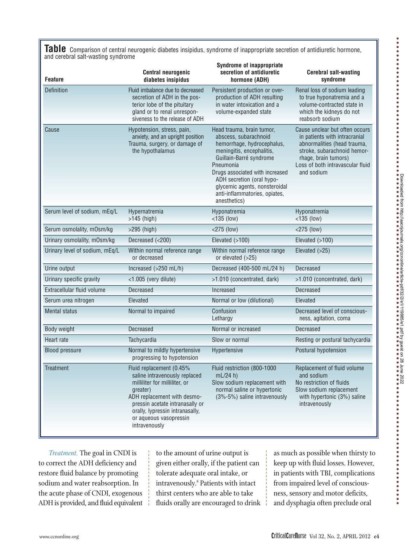**Table** Comparison of central neurogenic diabetes insipidus, syndrome of inappropriate secretion of antidiuretic hormone, and cerebral salt-wasting syndrome

| <b>Feature</b>                 | Central neurogenic<br>diabetes insipidus                                                                                                                                                                                                               | Syndrome of inappropriate<br>secretion of antidiuretic<br>hormone (ADH)                                                                                                                                                                                                                                 | <b>Cerebral salt-wasting</b><br>syndrome                                                                                                                                                                |  |  |
|--------------------------------|--------------------------------------------------------------------------------------------------------------------------------------------------------------------------------------------------------------------------------------------------------|---------------------------------------------------------------------------------------------------------------------------------------------------------------------------------------------------------------------------------------------------------------------------------------------------------|---------------------------------------------------------------------------------------------------------------------------------------------------------------------------------------------------------|--|--|
| <b>Definition</b>              | Fluid imbalance due to decreased<br>secretion of ADH in the pos-<br>terior lobe of the pituitary<br>gland or to renal unrespon-<br>siveness to the release of ADH                                                                                      | Persistent production or over-<br>production of ADH resulting<br>in water intoxication and a<br>volume-expanded state                                                                                                                                                                                   | Renal loss of sodium leading<br>to true hyponatremia and a<br>volume-contracted state in<br>which the kidneys do not<br>reabsorb sodium                                                                 |  |  |
| Cause                          | Hypotension, stress, pain,<br>anxiety, and an upright position<br>Trauma, surgery, or damage of<br>the hypothalamus                                                                                                                                    | Head trauma, brain tumor,<br>abscess, subarachnoid<br>hemorrhage, hydrocephalus,<br>meningitis, encephalitis,<br>Guillain-Barré syndrome<br>Pneumonia<br>Drugs associated with increased<br>ADH secretion (oral hypo-<br>glycemic agents, nonsteroidal<br>anti-inflammatories, opiates,<br>anesthetics) | Cause unclear but often occurs<br>in patients with intracranial<br>abnormalities (head trauma,<br>stroke, subarachnoid hemor-<br>rhage, brain tumors)<br>Loss of both intravascular fluid<br>and sodium |  |  |
| Serum level of sodium, mEq/L   | Hypernatremia<br>$>145$ (high)                                                                                                                                                                                                                         | Hyponatremia<br>$<$ 135 (low)                                                                                                                                                                                                                                                                           | Hyponatremia<br>$<$ 135 (low)                                                                                                                                                                           |  |  |
| Serum osmolality, mOsm/kg      | $>295$ (high)                                                                                                                                                                                                                                          | $<$ 275 (low)                                                                                                                                                                                                                                                                                           | $<$ 275 (low)                                                                                                                                                                                           |  |  |
| Urinary osmolality, mOsm/kg    | Decreased (<200)                                                                                                                                                                                                                                       | Elevated $(>100)$                                                                                                                                                                                                                                                                                       | Elevated $(>100)$                                                                                                                                                                                       |  |  |
| Urinary level of sodium, mEq/L | Within normal reference range<br>or decreased                                                                                                                                                                                                          | Within normal reference range<br>or elevated $(>25)$                                                                                                                                                                                                                                                    | Elevated $(>25)$                                                                                                                                                                                        |  |  |
| Urine output                   | Increased (>250 mL/h)                                                                                                                                                                                                                                  | Decreased (400-500 mL/24 h)                                                                                                                                                                                                                                                                             | Decreased                                                                                                                                                                                               |  |  |
| Urinary specific gravity       | $<$ 1.005 (very dilute)                                                                                                                                                                                                                                | >1.010 (concentrated, dark)                                                                                                                                                                                                                                                                             | >1.010 (concentrated, dark)                                                                                                                                                                             |  |  |
| Extracellular fluid volume     | Decreased                                                                                                                                                                                                                                              | Increased                                                                                                                                                                                                                                                                                               | Decreased                                                                                                                                                                                               |  |  |
| Serum urea nitrogen            | Elevated                                                                                                                                                                                                                                               | Normal or low (dilutional)                                                                                                                                                                                                                                                                              | Elevated                                                                                                                                                                                                |  |  |
| <b>Mental status</b>           | Normal to impaired                                                                                                                                                                                                                                     | Confusion<br>Lethargy                                                                                                                                                                                                                                                                                   | Decreased level of conscious-<br>ness, agitation, coma                                                                                                                                                  |  |  |
| Body weight                    | Decreased                                                                                                                                                                                                                                              | Normal or increased                                                                                                                                                                                                                                                                                     | Decreased                                                                                                                                                                                               |  |  |
| Heart rate                     | Tachycardia                                                                                                                                                                                                                                            | Slow or normal                                                                                                                                                                                                                                                                                          | Resting or postural tachycardia                                                                                                                                                                         |  |  |
| <b>Blood pressure</b>          | Normal to mildly hypertensive<br>progressing to hypotension                                                                                                                                                                                            | <b>Hypertensive</b>                                                                                                                                                                                                                                                                                     | Postural hypotension                                                                                                                                                                                    |  |  |
| <b>Treatment</b>               | Fluid replacement (0.45%<br>saline intravenously replaced<br>milliliter for milliliter, or<br>greater)<br>ADH replacement with desmo-<br>pressin acetate intranasally or<br>orally, lypressin intranasally,<br>or aqueous vasopressin<br>intravenously | Fluid restriction (800-1000<br>mL/24 h<br>Slow sodium replacement with<br>normal saline or hypertonic<br>(3%-5%) saline intravenously                                                                                                                                                                   | Replacement of fluid volume<br>and sodium<br>No restriction of fluids<br>Slow sodium replacement<br>with hypertonic (3%) saline<br>intravenously                                                        |  |  |

*Treatment.* The goal in CNDI is to correct the ADH deficiency and restore fluid balance by promoting sodium and water reabsorption. In the acute phase of CNDI, exogenous ADH is provided, and fluid equivalent

to the amount of urine output is given either orally, if the patient can tolerate adequate oral intake, or intravenously.8 Patients with intact thirst centers who are able to take fluids orally are encouraged to drink as much as possible when thirsty to keep up with fluid losses. However, in patients with TBI, complications from impaired level of consciousness, sensory and motor deficits, and dysphagia often preclude oral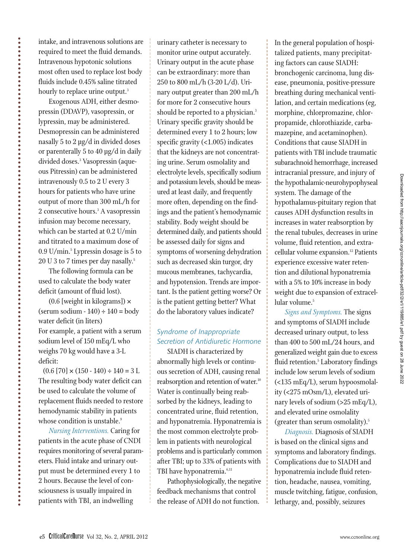intake, and intravenous solutions are required to meet the fluid demands. Intravenous hypotonic solutions most often used to replace lost body fluids include 0.45% saline titrated hourly to replace urine output.<sup>3</sup>

Exogenous ADH, either desmopressin (DDAVP), vasopressin, or lypressin, may be administered. Desmopressin can be administered nasally 5 to 2 μg/d in divided doses or parenterally 5 to 40 μg/d in daily divided doses.3 Vasopressin (aqueous Pitressin) can be administered intravenously 0.5 to 2 U every 3 hours for patients who have urine output of more than 300 mL/h for 2 consecutive hours.<sup>3</sup> A vasopressin infusion may become necessary, which can be started at 0.2 U/min and titrated to a maximum dose of 0.9 U/min.5 Lypressin dosage is 5 to 20 U 3 to 7 times per day nasally.<sup>5</sup>

The following formula can be used to calculate the body water deficit (amount of fluid lost).

 $(0.6$  [weight in kilograms])  $\times$ (serum sodium -  $140$ )  $\div$   $140$  = body water deficit (in liters) For example, a patient with a serum sodium level of 150 mEq/L who weighs 70 kg would have a 3-L deficit:

 $(0.6 [70] \times (150 - 140) \div 140 = 3$  L The resulting body water deficit can be used to calculate the volume of replacement fluids needed to restore hemodynamic stability in patients whose condition is unstable.<sup>9</sup>

*Nursing Interventions.* Caring for patients in the acute phase of CNDI requires monitoring of several parameters. Fluid intake and urinary output must be determined every 1 to 2 hours. Because the level of consciousness is usually impaired in patients with TBI, an indwelling

urinary catheter is necessary to monitor urine output accurately. Urinary output in the acute phase can be extraordinary: more than 250 to 800 mL/h (3-20 L/d). Urinary output greater than 200 mL/h for more for 2 consecutive hours should be reported to a physician.<sup>3</sup> Urinary specific gravity should be determined every 1 to 2 hours; low specific gravity (<1.005) indicates that the kidneys are not concentrating urine. Serum osmolality and electrolyte levels, specifically sodium and potassium levels, should be measured at least daily, and frequently more often, depending on the findings and the patient's hemodynamic stability. Body weight should be determined daily, and patients should be assessed daily for signs and symptoms of worsening dehydration such as decreased skin turgor, dry mucous membranes, tachycardia, and hypotension. Trends are important. Is the patient getting worse? Or is the patient getting better? What do the laboratory values indicate?

# *Syndrome of Inappropriate Secretion of Antidiuretic Hormone*

SIADH is characterized by abnormally high levels or continuous secretion of ADH, causing renal reabsorption and retention of water.<sup>10</sup> Water is continually being reabsorbed by the kidneys, leading to concentrated urine, fluid retention, and hyponatremia. Hyponatremia is the most common electrolyte problem in patients with neurological problems and is particularly common after TBI; up to 33% of patients with TBI have hyponatremia.<sup>6,11</sup>

Pathophysiologically, the negative feedback mechanisms that control the release of ADH do not function.

In the general population of hospitalized patients, many precipitating factors can cause SIADH: bronchogenic carcinoma, lung disease, pneumonia, positive-pressure breathing during mechanical ventilation, and certain medications (eg, morphine, chlorpromazine, chlorpropamide, chlorothiazide, carbamazepine, and acetaminophen). Conditions that cause SIADH in patients with TBI include traumatic subarachnoid hemorrhage, increased intracranial pressure, and injury of the hypothalamic-neurohypophyseal system. The damage of the hypothalamus-pituitary region that causes ADH dysfunction results in increases in water reabsorption by the renal tubules, decreases in urine volume, fluid retention, and extracellular volume expansion.<sup>12</sup> Patients experience excessive water retention and dilutional hyponatremia with a 5% to 10% increase in body weight due to expansion of extracellular volume.<sup>5</sup>

*Signs and Symptoms.* The signs and symptoms of SIADH include decreased urinary output, to less than 400 to 500 mL/24 hours, and generalized weight gain due to excess fluid retention.<sup>5</sup> Laboratory findings include low serum levels of sodium (<135 mEq/L), serum hypoosmolality (<275 mOsm/L), elevated urinary levels of sodium (>25 mEq/L), and elevated urine osmolality (greater than serum osmolality).5

Downloaded from http://aacnjournals.org/ccnonline/article-pdf/32/2/e1/119885/e1.pdf by guest on 28 June 2022 Downloaded from http://aacnjournals.org/ccnonline/article-pdf/32/2/e1/119885/e1.pdf by guest on 28 June 2022

*Diagnosis.* Diagnosis of SIADH is based on the clinical signs and symptoms and laboratory findings. Complications due to SIADH and hyponatremia include fluid retention, headache, nausea, vomiting, muscle twitching, fatigue, confusion, lethargy, and, possibly, seizures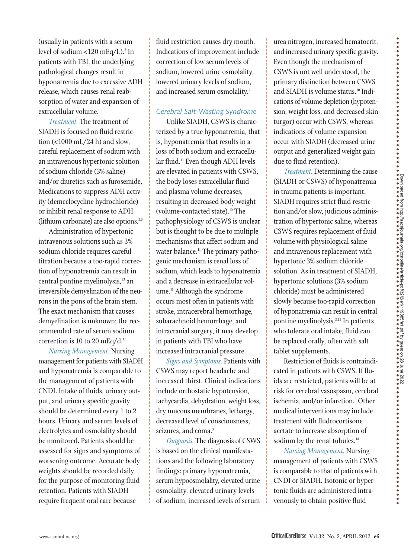(usually in patients with a serum level of sodium <120 mEq/L).<sup>3</sup> In patients with TBI, the underlying pathological changes result in hyponatremia due to excessive ADH release, which causes renal reabsorption of water and expansion of extracellular volume.

*Treatment.* The treatment of SIADH is focused on fluid restriction (<1000 mL/24 h) and slow, careful replacement of sodium with an intravenous hypertonic solution of sodium chloride (3% saline) and/or diuretics such as furosemide. Medications to suppress ADH activity (demeclocycline hydrochloride) or inhibit renal response to ADH (lithium carbonate) are also options.3,6

Administration of hypertonic intravenous solutions such as 3% sodium chloride requires careful titration because a too-rapid correction of hyponatremia can result in central pontine myelinolysis,<sup>13</sup> an irreversible demyelination of the neurons in the pons of the brain stem. The exact mechanism that causes demyelination is unknown; the recommended rate of serum sodium correction is 10 to 20 mEq/d.<sup>13</sup>

*Nursing Management*. Nursing management for patients with SIADH and hyponatremia is comparable to the management of patients with CNDI. Intake of fluids, urinary output, and urinary specific gravity should be determined every 1 to 2 hours. Urinary and serum levels of electrolytes and osmolality should be monitored. Patients should be assessed for signs and symptoms of worsening outcome. Accurate body weights should be recorded daily for the purpose of monitoring fluid retention. Patients with SIADH require frequent oral care because

fluid restriction causes dry mouth. Indications of improvement include correction of low serum levels of sodium, lowered urine osmolality, lowered urinary levels of sodium, and increased serum osmolality.<sup>2</sup>

# *Cerebral Salt-Wasting Syndrome*

Unlike SIADH, CSWS is characterized by a true hyponatremia, that is, hyponatremia that results in a loss of both sodium and extracellular fluid.<sup>11</sup> Even though ADH levels are elevated in patients with CSWS, the body loses extracellular fluid and plasma volume decreases, resulting in decreased body weight (volume-contacted state).10 The pathophysiology of CSWS is unclear but is thought to be due to multiple mechanisms that affect sodium and water balance.<sup>11</sup> The primary pathogenic mechanism is renal loss of sodium, which leads to hyponatremia and a decrease in extracellular volume.<sup>11</sup> Although the syndrome occurs most often in patients with stroke, intracerebral hemorrhage, subarachnoid hemorrhage, and intracranial surgery, it may develop in patients with TBI who have increased intracranial pressure.

*Signs and Symptoms.* Patients with CSWS may report headache and increased thirst. Clinical indications include orthostatic hypotension, tachycardia, dehydration, weight loss, dry mucous membranes, lethargy, decreased level of consciousness, seizures, and coma.<sup>3</sup>

*Diagnosis.* The diagnosis of CSWS is based on the clinical manifestations and the following laboratory findings: primary hyponatremia, serum hypoosmolality, elevated urine osmolality, elevated urinary levels of sodium, increased levels of serum urea nitrogen, increased hematocrit, and increased urinary specific gravity. Even though the mechanism of CSWS is not well understood, the primary distinction between CSWS and SIADH is volume status.<sup>10</sup> Indications of volume depletion (hypotension, weight loss, and decreased skin turgor) occur with CSWS, whereas indications of volume expansion occur with SIADH (decreased urine output and generalized weight gain due to fluid retention).

*Treatment.* Determining the cause (SIADH or CSWS) of hyponatremia in trauma patients is important. SIADH requires strict fluid restriction and/or slow, judicious administration of hypertonic saline, whereas CSWS requires replacement of fluid volume with physiological saline and intravenous replacement with hypertonic 3% sodium chloride solution. As in treatment of SIADH, hypertonic solutions (3% sodium chloride) must be administered slowly because too-rapid correction of hyponatremia can result in central pontine myelinolysis.<sup>3,13</sup> In patients who tolerate oral intake, fluid can be replaced orally, often with salt tablet supplements.

Restriction of fluids is contraindicated in patients with CSWS. If fluids are restricted, patients will be at risk for cerebral vasospasm, cerebral ischemia, and/or infarction.<sup>3</sup> Other medical interventions may include treatment with fludrocortisone acetate to increase absorption of sodium by the renal tubules.<sup>14</sup>

*Nursing Management.* Nursing management of patients with CSWS is comparable to that of patients with CNDI or SIADH. Isotonic or hypertonic fluids are administered intravenously to obtain positive fluid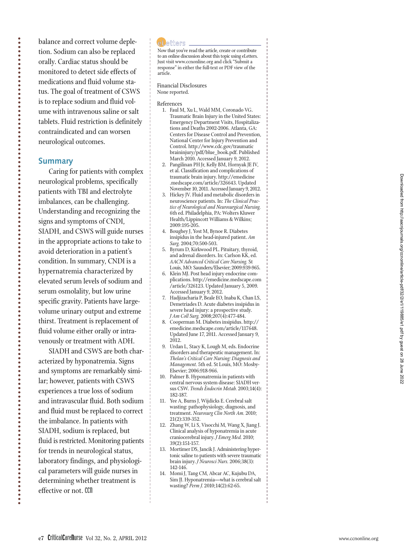balance and correct volume depletion. Sodium can also be replaced orally. Cardiac status should be monitored to detect side effects of medications and fluid volume status. The goal of treatment of CSWS is to replace sodium and fluid volume with intravenous saline or salt tablets. Fluid restriction is definitely contraindicated and can worsen neurological outcomes.

**Summary**<br>Caring for patients with complex neurological problems, specifically patients with TBI and electrolyte imbalances, can be challenging. Understanding and recognizing the signs and symptoms of CNDI, SIADH, and CSWS will guide nurses in the appropriate actions to take to avoid deterioration in a patient's condition. In summary, CNDI is a hypernatremia characterized by elevated serum levels of sodium and serum osmolality, but low urine specific gravity. Patients have largevolume urinary output and extreme thirst. Treatment is replacement of fluid volume either orally or intravenously or treatment with ADH.

SIADH and CSWS are both characterized by hyponatremia. Signs and symptoms are remarkably similar; however, patients with CSWS experiences a true loss of sodium and intravascular fluid. Both sodium and fluid must be replaced to correct the imbalance. In patients with SIADH, sodium is replaced, but fluid is restricted. Monitoring patients for trends in neurological status, laboratory findings, and physiological parameters will guide nurses in determining whether treatment is effective or not. CCII

### e Letters

Now that you've read the article, create or contribute to an online discussion about this topic using eLetters. Just visit www.ccnonline.org and click "Submit a response" in either the full-text or PDF view of the article.

#### Financial Disclosures None reported.

#### References

- 1. Faul M, Xu L, Wald MM, Coronado VG. Traumatic Brain Injury in the United States: Emergency Department Visits, Hospitalizations and Deaths 2002-2006. Atlanta, GA: Centers for Disease Control and Prevention, National Center for Injury Prevention and Control. http://www.cdc.gov/traumatic braininjury/pdf/blue\_book.pdf. Published March 2010. Accessed January 9, 2012.
- 2. Pangilinan PH Jr, Kelly BM, Hornyak JE IV, et al. Classification and complications of traumatic brain injury. http://emedicine .medscape.com/article/326643. Updated November 10, 2011. Accessed January 9, 2012.
- 3. Hickey JV. Fluid and metabolic disorders in neuroscience patients. In: *The Clinical Practice of Neurological and Neurosurgical Nursing.* 6th ed. Philadelphia, PA: Wolters Kluwer Health/Lippincott Williams & Wilkins; 2009:195-205.
- 4. Boughey J, Yost M, Bynoe R. Diabetes insipidus in the head-injured patient. *Am Surg.* 2004;70:500-503.
- 5. Byrum D, Kirkwood PL. Pituitary, thyroid, and adrenal disorders. In: Carlson KK, ed. *AACN Advanced Critical Care Nursing.* St Louis, MO: Saunders/Elsevier; 2009:939-965.
- 6. Klein MJ. Post head injury endocrine complications. http://emedicine.medscape.com /article/326123. Updated January 5, 2009. Accessed January 9, 2012.
- 7. Hadjizacharia P, Beale EO, Inaba K, Chan LS, Demetriades D. Acute diabetes insipidus in severe head injury: a prospective study. *J Am Coll Surg.* 2008;207(4):477-484.
- 8. Cooperman M. Diabetes insipidus. http:// emedicine.medscape.com/article/117648. Updated June 17, 2011. Accessed January 9, 2012.
- 9. Urdan L, Stacy K, Lough M, eds. Endocrine disorders and therapeutic management. In: *Thelan's Critical Care Nursing: Diagnosis and Management.* 5th ed. St Louis, MO: Mosby-Elsevier; 2006:918-966.
- 10. Palmer B. Hyponatremia in patients with central nervous system disease: SIADH versus CSW. *Trends Endocrin Metab.* 2003;14(4): 182-187.
- 11. Yee A, Burns J, Wijdicks E. Cerebral salt wasting: pathophysiology, diagnosis, and treatment. *Neurosurg Clin North Am.* 2010; 21(2):339-352.
- 12. Zhang W, Li S, Visocchi M, Wang X, Jiang J. Clinical analysis of hyponatremia in acute craniocerebral injury. *J Emerg Med.* 2010; 39(2):151-157.
- 13. Mortimer DS, Jancik J. Administering hypertonic saline to patients with severe traumatic brain injury. *J Neurosci Nurs.* 2006;38(3): 142-146.
- 14. Momi J, Tang CM, Abcar AC, Kujubu DA, Sim JJ. Hyponatremia—what is cerebral salt wasting? *Perm J.* 2010;14(2):62-65.